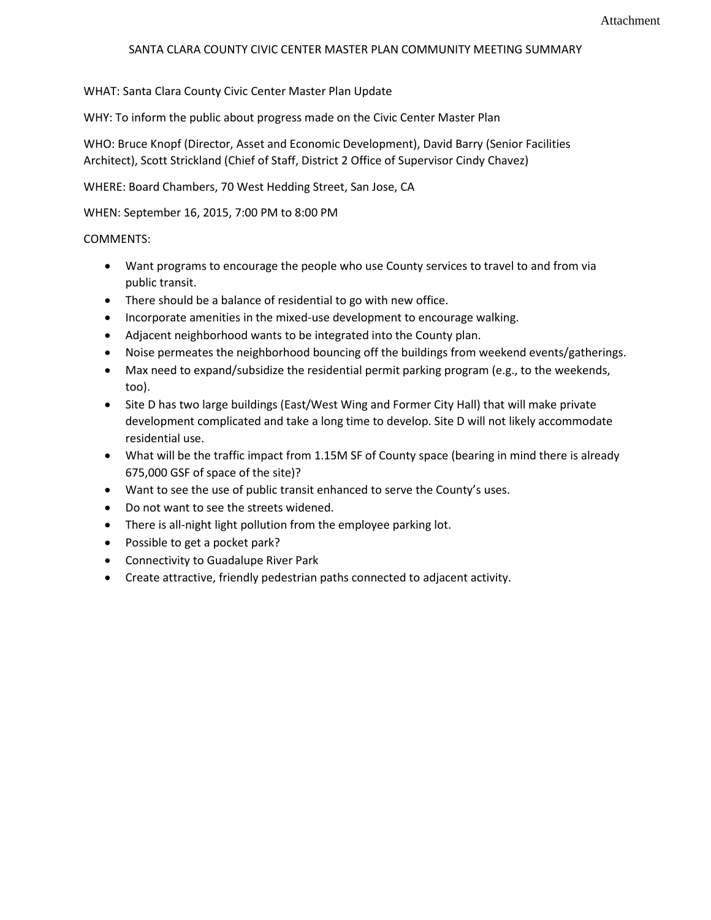## SANTA CLARA COUNTY CIVIC CENTER MASTER PLAN COMMUNITY MEETING SUMMARY

WHAT: Santa Clara County Civic Center Master Plan Update

WHY: To inform the public about progress made on the Civic Center Master Plan

WHO: Bruce Knopf (Director, Asset and Economic Development), David Barry (Senior Facilities Architect), Scott Strickland (Chief of Staff, District 2 Office of Supervisor Cindy Chavez)

WHERE: Board Chambers, 70 West Hedding Street, San Jose, CA

WHEN: September 16, 2015, 7:00 PM to 8:00 PM

## COMMENTS:

- Want programs to encourage the people who use County services to travel to and from via public transit.
- There should be a balance of residential to go with new office.
- Incorporate amenities in the mixed-use development to encourage walking.
- Adjacent neighborhood wants to be integrated into the County plan.
- Noise permeates the neighborhood bouncing off the buildings from weekend events/gatherings.
- Max need to expand/subsidize the residential permit parking program (e.g., to the weekends, too).
- Site D has two large buildings (East/West Wing and Former City Hall) that will make private development complicated and take a long time to develop. Site D will not likely accommodate residential use.
- What will be the traffic impact from 1.15M SF of County space (bearing in mind there is already 675,000 GSF of space of the site)?
- Want to see the use of public transit enhanced to serve the County's uses.
- Do not want to see the streets widened.
- There is all-night light pollution from the employee parking lot.
- Possible to get a pocket park?
- Connectivity to Guadalupe River Park
- Create attractive, friendly pedestrian paths connected to adjacent activity.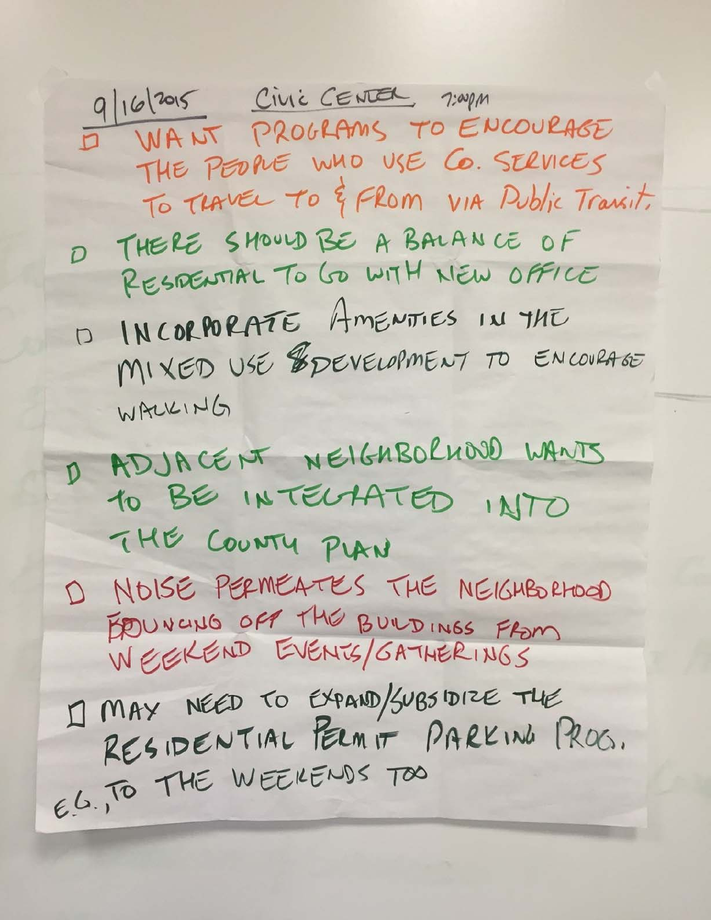9/16/2015 CIVIC CENTER 7:00pm I WANT PROGRAMS TO ENCOURAGE THE PEOPLE WHO USE CO. SERVICES To THAVEL TO & FROM VIA Public Trainit. D THERE SHOULD BE A BALANCE OF RESPENTIAL TO GO WITH NEW OFFICE D INCORPORATE AMENTIES IN THE MIXED USE ESPEVELOPMENT TO ENCOVRAGE WALKING D ADJACENT NEIGHBOLHOOD WANTS 10 BE INTELAATED INTO THE COUNTY PLAN D NOISE PERMEATES THE NEIGHBORHOOD EDUNCING OFF THE BUILDINGS FROM I] MAY NÉED TO EXPAND/SUBSIDIZE THE RESIDENTIAL PERMIT PARKING PROG. E.G., TO THE WEEKENDS TOO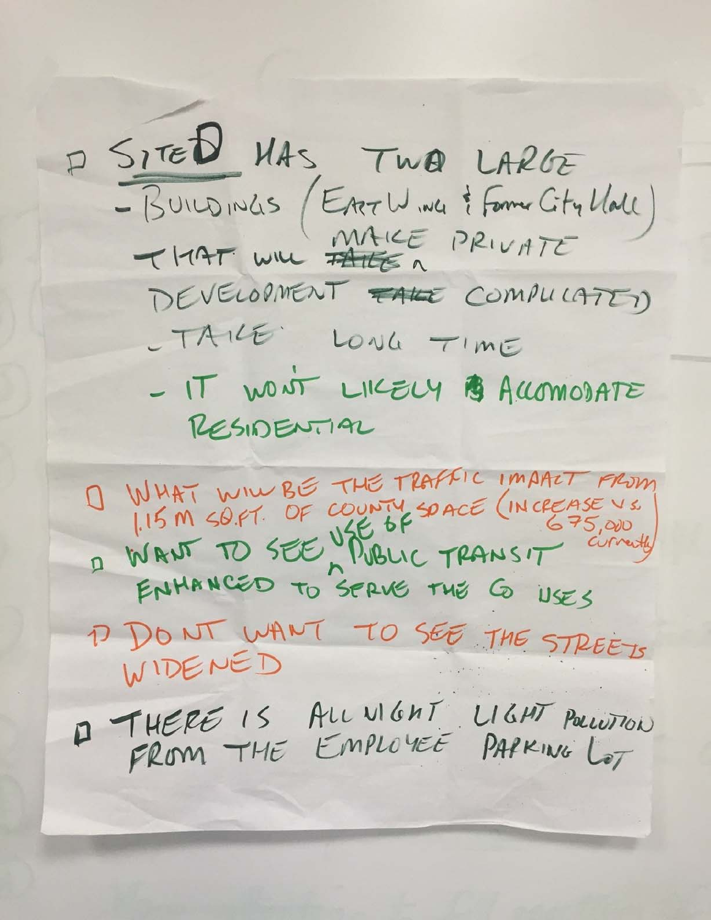P SITED MAS, TWO LARGE - BUILDINGS (EATLY ING & FORME CITY MALL)<br>THAT WILL PRIVATE DEVELOPMENT FALE COMPULATED - TAILE LONG TIME - IT WONT LIKELY B ACCOMODATE RESIDENTIAL O WHAT WILL BE THE TRAFFIC IMART FROM 115 M SO.FT. OF COUNTY SOACE (INCREASE VS. ENHANCED TO SERVE THE G USES D DONT WANT TO SEE THE STREETS WIDENED 1 THERE IS ALL VIGHT LIGHT POLLUTION FROM THE EMPLOYEE PAPKING LOT